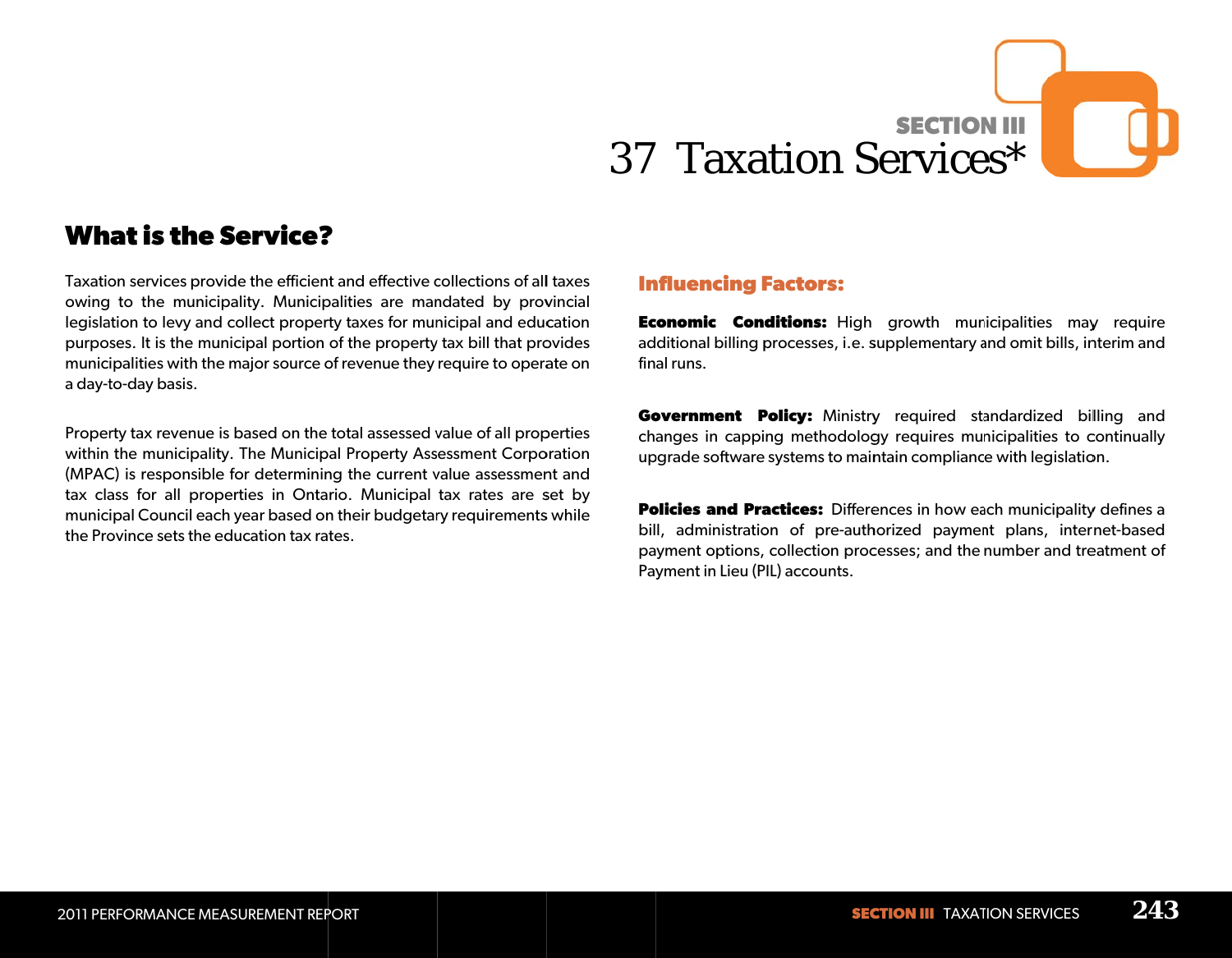# **SECTION III** 37 Taxation Services\*

# **What is the Service?**

Taxation services provide the efficient and effective collections of all taxes owing to the municipality. Municipalities are mandated by provincial legislation to levy and collect property taxes for municipal and education purposes. It is the municipal portion of the property tax bill that provides municipalities with the major source of revenue they require to operate on a day-to-day basis.

Property tax revenue is based on the total assessed value of all properties within the municipality. The Municipal Property Assessment Corporation (MPAC) is responsible for determining the current value assessment and tax class for all properties in Ontario. Municipal tax rates are set by municipal Council each year based on their budgetary requirements while the Province sets the education tax rates.

### **Influencing Factors:**

**Economic Conditions:** High growth municipalities may require additional billing processes, i.e. supplementary and omit bills, interim and final runs.

Government Policy: Ministry required standardized billing and changes in capping methodology requires municipalities to continually upgrade software systems to maintain compliance with legislation.

**Policies and Practices:** Differences in how each municipality defines a bill, administration of pre-authorized payment plans, internet-based payment options, collection processes; and the number and treatment of Payment in Lieu (PIL) accounts.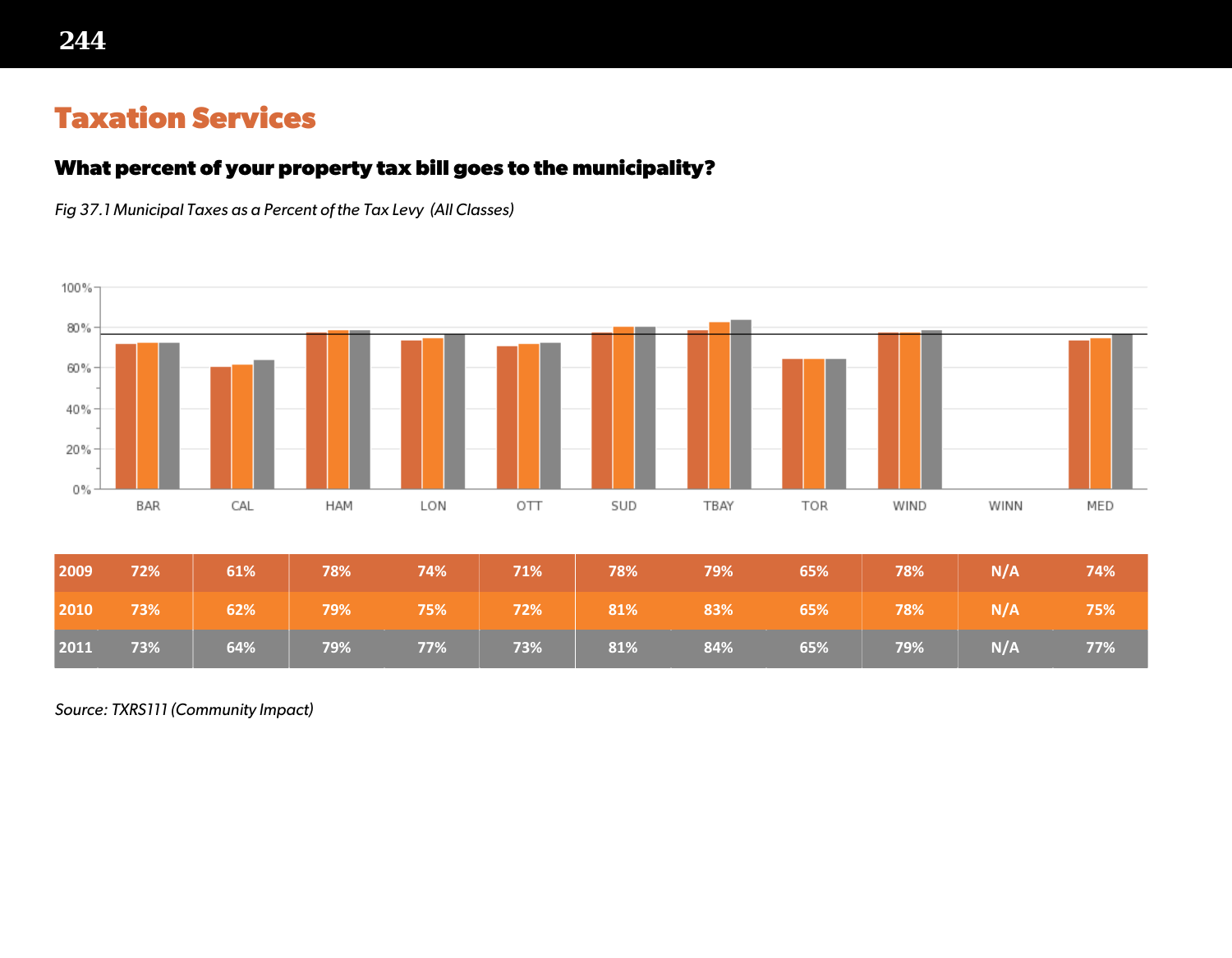# **Taxation Services**

## **What percent of your property tax bill goes to the municipality?**

*Fig 37.1 Municipal Taxes as a Percent of the Tax Levy (All Classes)*



*Source: TXRS111 (Community Impact)*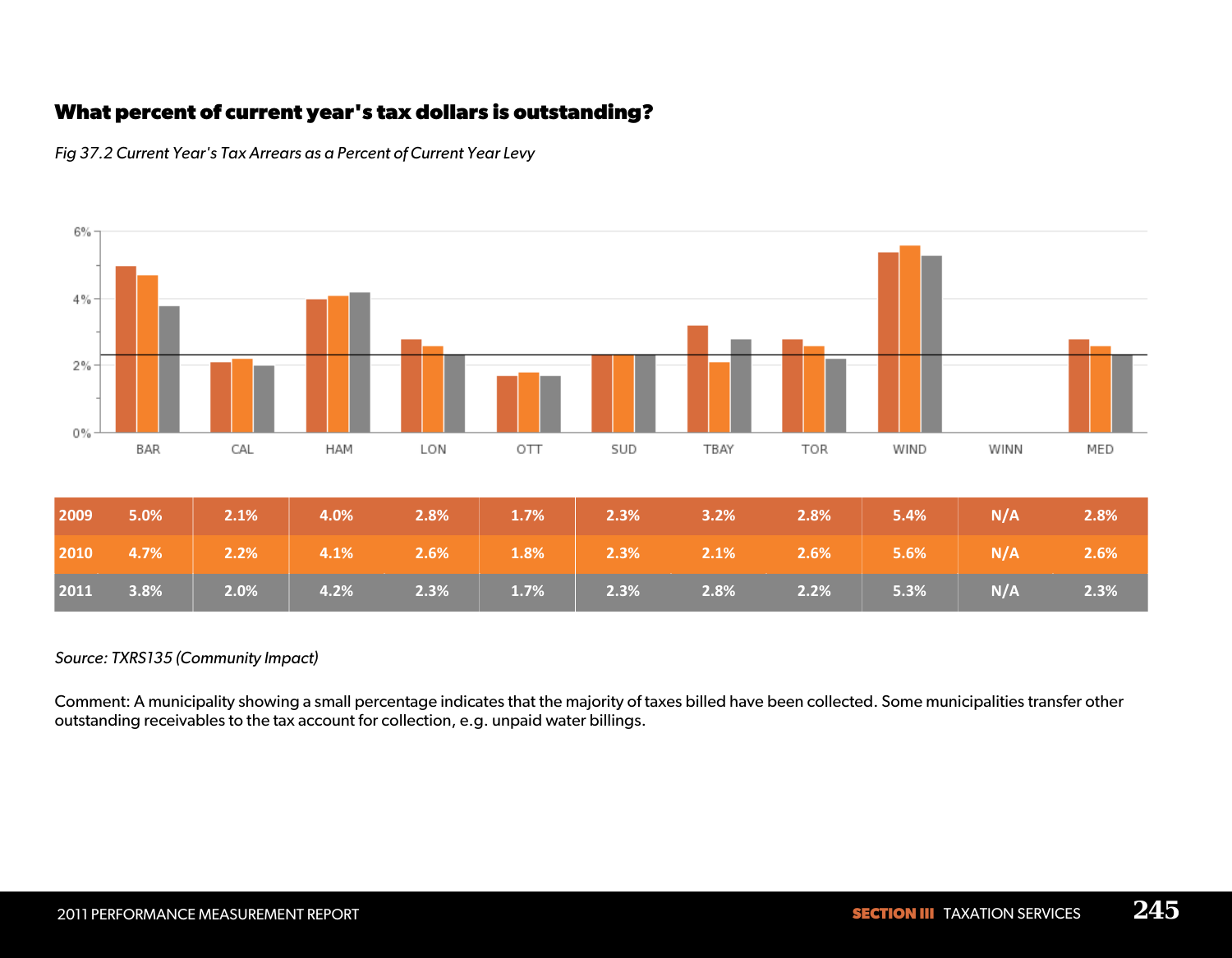# **What percent of current year's tax dollars is outstanding?**



*Fig 37.2 Current Year's Tax Arrears as a Percent of Current Year Levy*

#### *Source: TXRS135 (Community Impact)*

Comment: A municipality showing a small percentage indicates that the majority of taxes billed have been collected. Some municipalities transfer other outstanding receivables to the tax account for collection, e.g. unpaid water billings.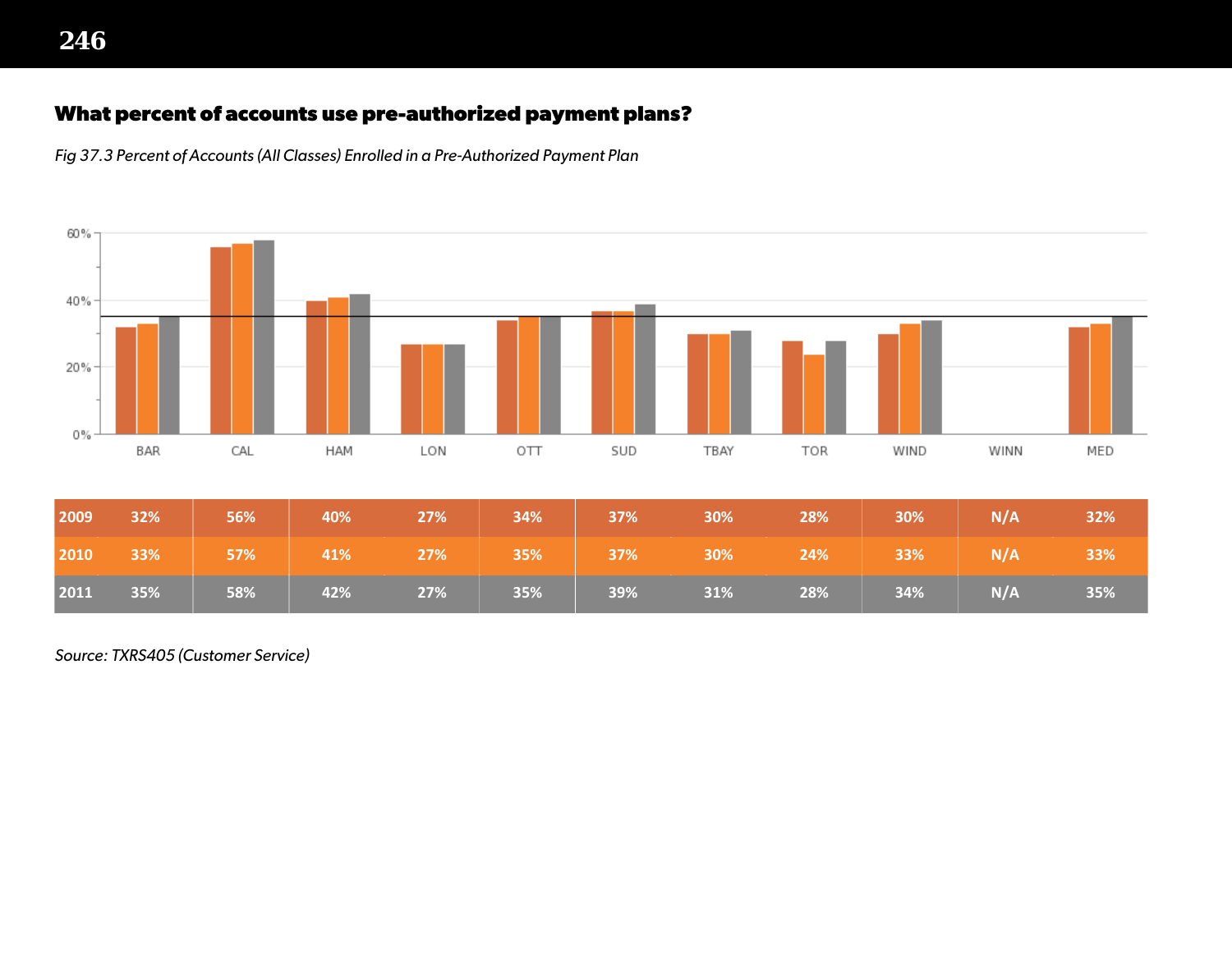## **What percent of accounts use pre-authorized payment plans?**

*Fig 37.3 Percent of Accounts (All Classes) Enrolled in a Pre-Authorized Payment Plan*



*Source: TXRS405 (Customer Service)*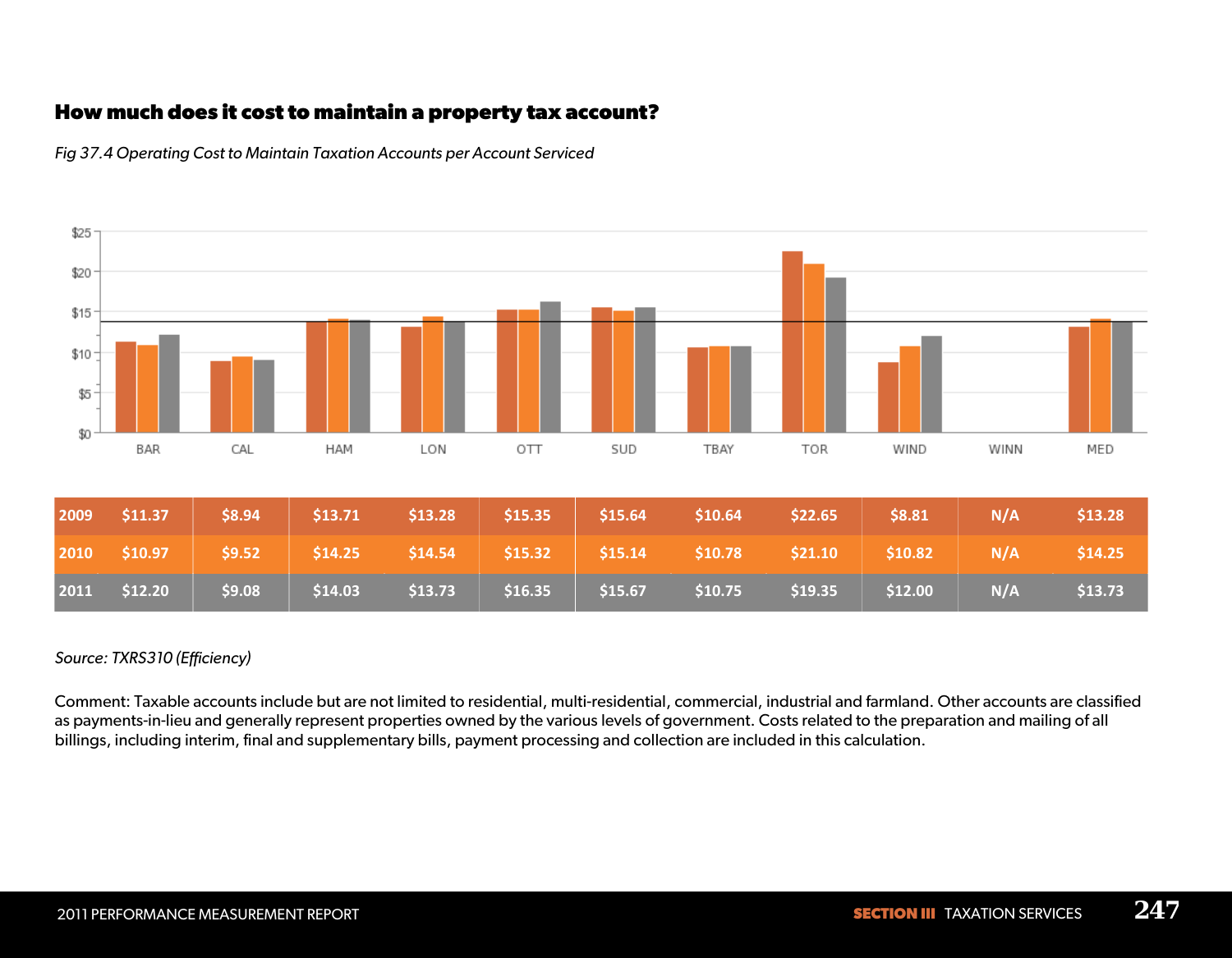## **How much does it cost to maintain a property tax account?**



*Fig 37.4 Operating Cost to Maintain Taxation Accounts per Account Serviced*

#### *Source: TXRS310 (Efficiency)*

Comment: Taxable accounts include but are not limited to residential, multi-residential, commercial, industrial and farmland. Other accounts are classified as payments-in-lieu and generally represent properties owned by the various levels of government. Costs related to the preparation and mailing of all billings, including interim, final and supplementary bills, payment processing and collection are included in this calculation.